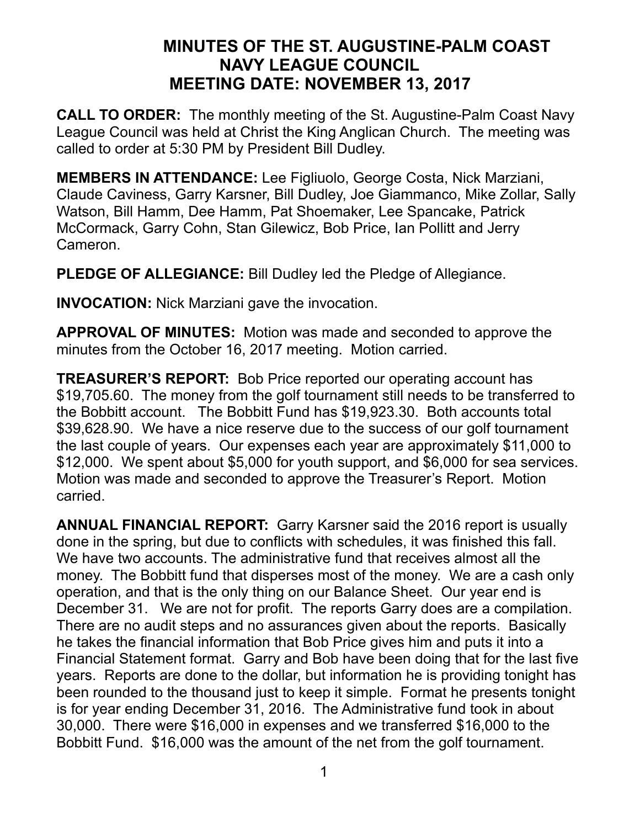## **MINUTES OF THE ST. AUGUSTINE-PALM COAST NAVY LEAGUE COUNCIL MEETING DATE: NOVEMBER 13, 2017**

**CALL TO ORDER:** The monthly meeting of the St. Augustine-Palm Coast Navy League Council was held at Christ the King Anglican Church. The meeting was called to order at 5:30 PM by President Bill Dudley.

**MEMBERS IN ATTENDANCE:** Lee Figliuolo, George Costa, Nick Marziani, Claude Caviness, Garry Karsner, Bill Dudley, Joe Giammanco, Mike Zollar, Sally Watson, Bill Hamm, Dee Hamm, Pat Shoemaker, Lee Spancake, Patrick McCormack, Garry Cohn, Stan Gilewicz, Bob Price, Ian Pollitt and Jerry Cameron.

**PLEDGE OF ALLEGIANCE:** Bill Dudley led the Pledge of Allegiance.

**INVOCATION:** Nick Marziani gave the invocation.

**APPROVAL OF MINUTES:** Motion was made and seconded to approve the minutes from the October 16, 2017 meeting. Motion carried.

**TREASURER'S REPORT:** Bob Price reported our operating account has \$19,705.60. The money from the golf tournament still needs to be transferred to the Bobbitt account. The Bobbitt Fund has \$19,923.30. Both accounts total \$39,628.90. We have a nice reserve due to the success of our golf tournament the last couple of years. Our expenses each year are approximately \$11,000 to \$12,000. We spent about \$5,000 for youth support, and \$6,000 for sea services. Motion was made and seconded to approve the Treasurer's Report. Motion carried.

**ANNUAL FINANCIAL REPORT:** Garry Karsner said the 2016 report is usually done in the spring, but due to conflicts with schedules, it was finished this fall. We have two accounts. The administrative fund that receives almost all the money. The Bobbitt fund that disperses most of the money. We are a cash only operation, and that is the only thing on our Balance Sheet. Our year end is December 31. We are not for profit. The reports Garry does are a compilation. There are no audit steps and no assurances given about the reports. Basically he takes the financial information that Bob Price gives him and puts it into a Financial Statement format. Garry and Bob have been doing that for the last five years. Reports are done to the dollar, but information he is providing tonight has been rounded to the thousand just to keep it simple. Format he presents tonight is for year ending December 31, 2016. The Administrative fund took in about 30,000. There were \$16,000 in expenses and we transferred \$16,000 to the Bobbitt Fund. \$16,000 was the amount of the net from the golf tournament.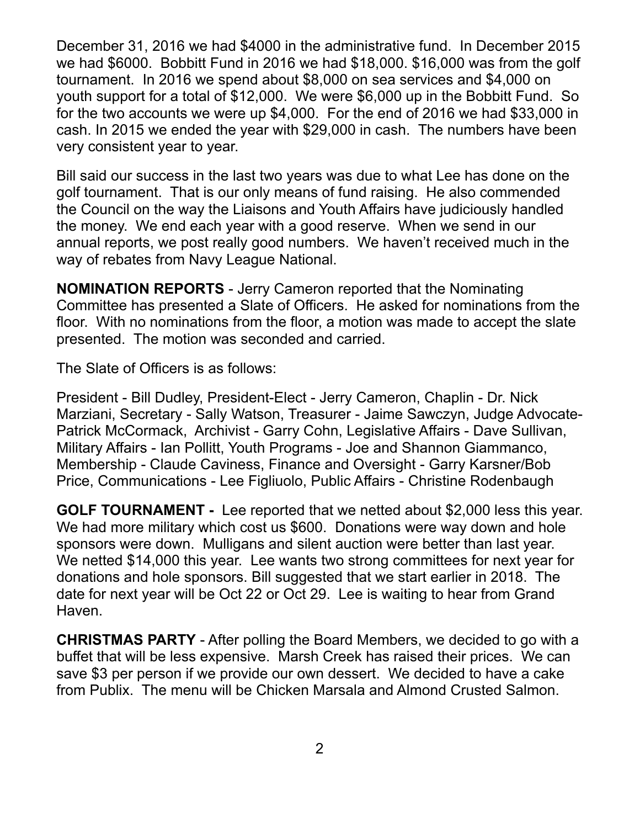December 31, 2016 we had \$4000 in the administrative fund. In December 2015 we had \$6000. Bobbitt Fund in 2016 we had \$18,000. \$16,000 was from the golf tournament. In 2016 we spend about \$8,000 on sea services and \$4,000 on youth support for a total of \$12,000. We were \$6,000 up in the Bobbitt Fund. So for the two accounts we were up \$4,000. For the end of 2016 we had \$33,000 in cash. In 2015 we ended the year with \$29,000 in cash. The numbers have been very consistent year to year.

Bill said our success in the last two years was due to what Lee has done on the golf tournament. That is our only means of fund raising. He also commended the Council on the way the Liaisons and Youth Affairs have judiciously handled the money. We end each year with a good reserve. When we send in our annual reports, we post really good numbers. We haven't received much in the way of rebates from Navy League National.

**NOMINATION REPORTS** - Jerry Cameron reported that the Nominating Committee has presented a Slate of Officers. He asked for nominations from the floor. With no nominations from the floor, a motion was made to accept the slate presented. The motion was seconded and carried.

The Slate of Officers is as follows:

President - Bill Dudley, President-Elect - Jerry Cameron, Chaplin - Dr. Nick Marziani, Secretary - Sally Watson, Treasurer - Jaime Sawczyn, Judge Advocate-Patrick McCormack, Archivist - Garry Cohn, Legislative Affairs - Dave Sullivan, Military Affairs - Ian Pollitt, Youth Programs - Joe and Shannon Giammanco, Membership - Claude Caviness, Finance and Oversight - Garry Karsner/Bob Price, Communications - Lee Figliuolo, Public Affairs - Christine Rodenbaugh

**GOLF TOURNAMENT -** Lee reported that we netted about \$2,000 less this year. We had more military which cost us \$600. Donations were way down and hole sponsors were down. Mulligans and silent auction were better than last year. We netted \$14,000 this year. Lee wants two strong committees for next year for donations and hole sponsors. Bill suggested that we start earlier in 2018. The date for next year will be Oct 22 or Oct 29. Lee is waiting to hear from Grand Haven.

**CHRISTMAS PARTY** - After polling the Board Members, we decided to go with a buffet that will be less expensive. Marsh Creek has raised their prices. We can save \$3 per person if we provide our own dessert. We decided to have a cake from Publix. The menu will be Chicken Marsala and Almond Crusted Salmon.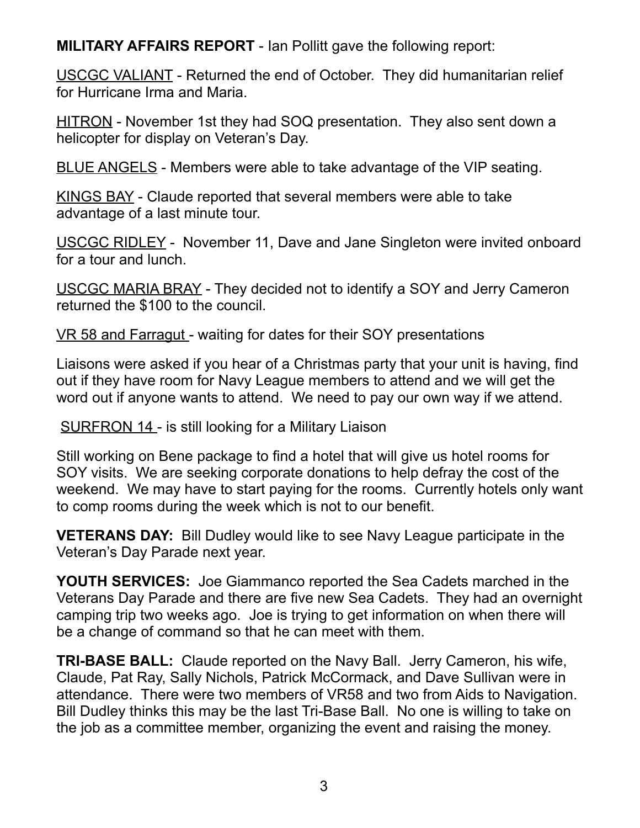**MILITARY AFFAIRS REPORT** - Ian Pollitt gave the following report:

USCGC VALIANT - Returned the end of October. They did humanitarian relief for Hurricane Irma and Maria.

HITRON - November 1st they had SOQ presentation. They also sent down a helicopter for display on Veteran's Day.

BLUE ANGELS - Members were able to take advantage of the VIP seating.

KINGS BAY - Claude reported that several members were able to take advantage of a last minute tour.

USCGC RIDLEY - November 11, Dave and Jane Singleton were invited onboard for a tour and lunch.

USCGC MARIA BRAY - They decided not to identify a SOY and Jerry Cameron returned the \$100 to the council.

VR 58 and Farragut - waiting for dates for their SOY presentations

Liaisons were asked if you hear of a Christmas party that your unit is having, find out if they have room for Navy League members to attend and we will get the word out if anyone wants to attend. We need to pay our own way if we attend.

SURFRON 14 - is still looking for a Military Liaison

Still working on Bene package to find a hotel that will give us hotel rooms for SOY visits. We are seeking corporate donations to help defray the cost of the weekend. We may have to start paying for the rooms. Currently hotels only want to comp rooms during the week which is not to our benefit.

**VETERANS DAY:** Bill Dudley would like to see Navy League participate in the Veteran's Day Parade next year.

**YOUTH SERVICES:** Joe Giammanco reported the Sea Cadets marched in the Veterans Day Parade and there are five new Sea Cadets. They had an overnight camping trip two weeks ago. Joe is trying to get information on when there will be a change of command so that he can meet with them.

**TRI-BASE BALL:** Claude reported on the Navy Ball. Jerry Cameron, his wife, Claude, Pat Ray, Sally Nichols, Patrick McCormack, and Dave Sullivan were in attendance. There were two members of VR58 and two from Aids to Navigation. Bill Dudley thinks this may be the last Tri-Base Ball. No one is willing to take on the job as a committee member, organizing the event and raising the money.